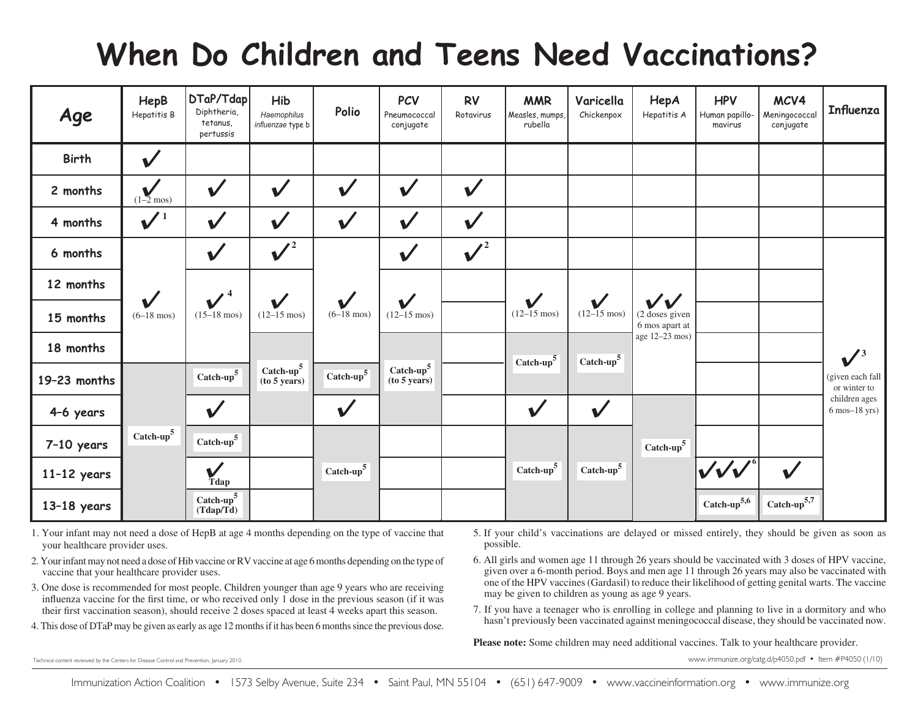# **When Do Children and Teens Need Vaccinations?**

| Age           | HepB<br>Hepatitis B                  | DTaP/Tdap<br>Diphtheria,<br>tetanus.<br>pertussis | Hib<br>Haemophilus<br>influenzae type b | Polio                                | <b>PCV</b><br>Pneumococcal<br>conjugate | <b>RV</b><br>Rotavirus    | <b>MMR</b><br>Measles, mumps,<br>rubella | Varicella<br>Chickenpox                 | HepA<br>Hepatitis A                                        | <b>HPV</b><br>Human papillo-<br>mavirus | MCV4<br>Meningococcal<br>conjugate | <b>Influenza</b>                    |
|---------------|--------------------------------------|---------------------------------------------------|-----------------------------------------|--------------------------------------|-----------------------------------------|---------------------------|------------------------------------------|-----------------------------------------|------------------------------------------------------------|-----------------------------------------|------------------------------------|-------------------------------------|
| <b>Birth</b>  | $\checkmark$                         |                                                   |                                         |                                      |                                         |                           |                                          |                                         |                                                            |                                         |                                    |                                     |
| 2 months      | $\sum_{(1-2 \text{mos})}$            | $\checkmark$                                      | $\checkmark$                            | $\checkmark$                         | $\checkmark$                            | $\checkmark$              |                                          |                                         |                                                            |                                         |                                    |                                     |
| 4 months      | $\sqrt{1}$                           | $\checkmark$                                      | $\checkmark$                            | $\checkmark$                         | $\checkmark$                            | $\checkmark$              |                                          |                                         |                                                            |                                         |                                    |                                     |
| 6 months      |                                      | $\checkmark$                                      | $\bigvee^2$                             |                                      | $\checkmark$                            | $\overline{\mathbf{v}^2}$ |                                          |                                         |                                                            |                                         |                                    |                                     |
| 12 months     |                                      | $\boldsymbol{V}^4$                                |                                         |                                      |                                         |                           |                                          |                                         |                                                            |                                         |                                    |                                     |
| 15 months     | $\checkmark$<br>$(6-18 \text{ mos})$ | $(15-18 \text{ mos})$                             | $\checkmark$<br>$(12-15 \text{ mos})$   | $\checkmark$<br>$(6-18 \text{ mos})$ | $\checkmark$<br>$(12-15 \text{ mos})$   |                           | $\checkmark$<br>$(12-15 \text{ mos})$    | $\checkmark$<br>$(12 - 15 \text{ mos})$ | $\checkmark\checkmark$<br>(2 doses given<br>6 mos apart at |                                         |                                    |                                     |
| 18 months     |                                      |                                                   |                                         |                                      |                                         |                           | Catch-up $5$                             | Catch- $up5$                            | age 12-23 mos)                                             |                                         |                                    | $\sqrt{3}$                          |
| 19-23 months  |                                      | Catch-up $^5$                                     | Catch- $up5$<br>(to 5 years)            | Catch-up $5$                         | Catch- $up5$<br>(to 5 years)            |                           |                                          |                                         |                                                            |                                         |                                    | (given each fall<br>or winter to    |
| 4-6 years     |                                      | $\checkmark$                                      |                                         | $\checkmark$                         |                                         |                           | $\checkmark$                             | $\checkmark$                            |                                                            |                                         |                                    | children ages<br>$6$ mos- $18$ yrs) |
| $7-10$ years  | Catch- $up5$                         | Catch-up $^5$                                     |                                         |                                      |                                         |                           |                                          |                                         | Catch- $up5$                                               |                                         |                                    |                                     |
| $11-12$ years |                                      | $\checkmark$<br>Tdap                              |                                         | Catch- $up5$                         |                                         |                           | Catch- $up5$                             | Catch- $up5$                            |                                                            | $\bm{\mathcal{W}}$                      | $\checkmark$                       |                                     |
| $13-18$ years |                                      | Catch- $up5$<br>(Tdap/Td)                         |                                         |                                      |                                         |                           |                                          |                                         |                                                            | Catch-up $5,6$                          | Catch-up $5,7$                     |                                     |

- 1. Your infant may not need a dose of HepB at age 4 months depending on the type of vaccine that your healthcare provider uses.
- 2. Your infant may not need a dose of Hib vaccine or RV vaccine at age 6 months depending on the type of vaccine that your healthcare provider uses.
- 3. One dose is recommended for most people. Children younger than age 9 years who are receiving influenza vaccine for the first time, or who received only 1 dose in the previous season (if it was their first vaccination season), should receive 2 doses spaced at least 4 weeks apart this season.
- 4. This dose of DTaP may be given as early as age 12 months if it has been 6 months since the previous dose.
- 5. If your child's vaccinations are delayed or missed entirely, they should be given as soon as possible.
- 6. All girls and women age 11 through 26 years should be vaccinated with 3 doses of HPV vaccine, given over a 6-month period. Boys and men age 11 through 26 years may also be vaccinated with one of the HPV vaccines (Gardasil) to reduce their likelihood of getting genital warts. The vaccine may be given to children as young as age 9 years.
- 7. If you have a teenager who is enrolling in college and planning to live in a dormitory and who hasn't previously been vaccinated against meningococcal disease, they should be vaccinated now.

**Please note:** Some children may need additional vaccines. Talk to your healthcare provider.

Technical content reviewed by the Centers for Disease Control and Prevention, January 2010.

www.immunize.org/catg.d/p4050.pdf *•* Item #P4050 (1/10)